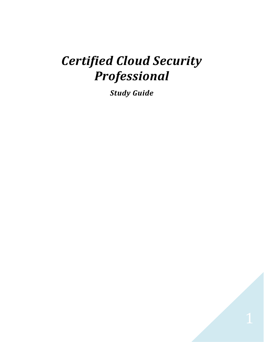# *Certified Cloud Security Professional*

*Study Guide*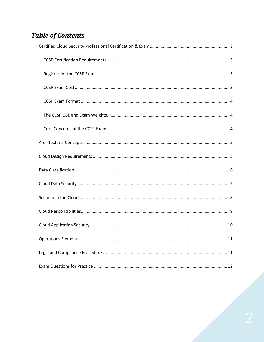## **Table of Contents**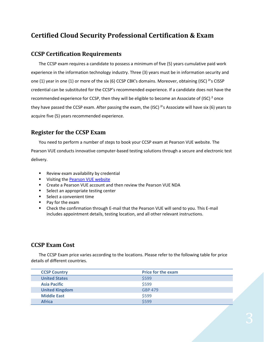## <span id="page-2-0"></span>**Certified Cloud Security Professional Certification & Exam**

#### <span id="page-2-1"></span>**CCSP Certification Requirements**

The CCSP exam requires a candidate to possess a minimum of five (5) years cumulative paid work experience in the information technology industry. Three (3) years must be in information security and one (1) year in one (1) or more of the six (6) CCSP CBK's domains. Moreover, obtaining (ISC) ²'s CISSP credential can be substituted for the CCSP's recommended experience. If a candidate does not have the recommended experience for CCSP, then they will be eligible to become an Associate of (ISC) ² once they have passed the CCSP exam. After passing the exam, the (ISC) ²'s Associate will have six (6) years to acquire five (5) years recommended experience.

#### <span id="page-2-2"></span>**Register for the CCSP Exam**

You need to perform a number of steps to book your CCSP exam at Pearson VUE website. The Pearson VUE conducts innovative computer-based testing solutions through a secure and electronic test delivery.

- Review exam availability by credential
- **■** Visiting th[e Pearson VUE website](http://www.pearsonvue.com/isc2/)
- Create a Pearson VUE account and then review the Pearson VUE NDA
- Select an appropriate testing center
- Select a convenient time
- Pay for the exam
- **E** Check the confirmation through E-mail that the Pearson VUE will send to you. This E-mail includes appointment details, testing location, and all other relevant instructions.

#### <span id="page-2-3"></span>**CCSP Exam Cost**

The CCSP Exam price varies according to the locations. Please refer to the following table for price details of different countries.

| <b>CCSP Country</b>   | <b>Price for the exam</b> |
|-----------------------|---------------------------|
| <b>United States</b>  | \$599                     |
| <b>Asia Pacific</b>   | \$599                     |
| <b>United Kingdom</b> | <b>GBP 479</b>            |
| <b>Middle East</b>    | \$599                     |
| <b>Africa</b>         | \$599                     |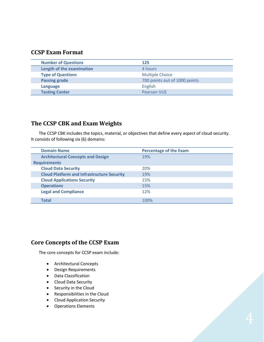#### <span id="page-3-0"></span>**CCSP Exam Format**

| <b>Number of Questions</b> | 125                           |
|----------------------------|-------------------------------|
| Length of the examination  | 4 hours                       |
| <b>Type of Questions</b>   | <b>Multiple Choice</b>        |
| <b>Passing grade</b>       | 700 points out of 1000 points |
| Language                   | English                       |
| <b>Testing Center</b>      | <b>Pearson VUE</b>            |

#### <span id="page-3-1"></span>**The CCSP CBK and Exam Weights**

The CCSP CBK includes the topics, material, or objectives that define every aspect of cloud security. It consists of following six (6) domains:

| <b>Domain Name</b>                                | <b>Percentage of the Exam</b> |
|---------------------------------------------------|-------------------------------|
| <b>Architectural Concepts and Design</b>          | 19%                           |
| <b>Requirements</b>                               |                               |
| <b>Cloud Data Security</b>                        | 20%                           |
| <b>Cloud Platform and Infrastructure Security</b> | 19%                           |
| <b>Cloud Applications Security</b>                | 15%                           |
| <b>Operations</b>                                 | 15%                           |
| <b>Legal and Compliance</b>                       | 12%                           |
|                                                   |                               |
| Total                                             | 100%                          |

#### <span id="page-3-2"></span>**Core Concepts of the CCSP Exam**

The core concepts for CCSP exam include:

- Architectural Concepts
- Design Requirements
- Data Classification
- Cloud Data Security
- Security in the Cloud
- Responsibilities in the Cloud
- Cloud Application Security
- Operations Elements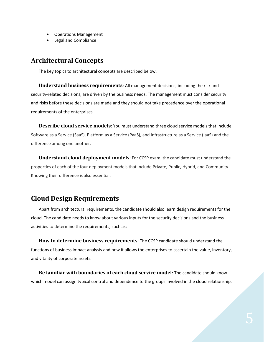- Operations Management
- Legal and Compliance

## <span id="page-4-0"></span>**Architectural Concepts**

The key topics to architectural concepts are described below.

**Understand business requirements**: All management decisions, including the risk and security-related decisions, are driven by the business needs. The management must consider security and risks before these decisions are made and they should not take precedence over the operational requirements of the enterprises.

**Describe cloud service models**: You must understand three cloud service models that include Software as a Service (SaaS), Platform as a Service (PaaS), and Infrastructure as a Service (IaaS) and the difference among one another.

**Understand cloud deployment models**: For CCSP exam, the candidate must understand the properties of each of the four deployment models that include Private, Public, Hybrid, and Community. Knowing their difference is also essential.

## <span id="page-4-1"></span>**Cloud Design Requirements**

Apart from architectural requirements, the candidate should also learn design requirements for the cloud. The candidate needs to know about various inputs for the security decisions and the business activities to determine the requirements, such as:

**How to determine business requirements**: The CCSP candidate should understand the functions of business impact analysis and how it allows the enterprises to ascertain the value, inventory, and vitality of corporate assets.

**Be familiar with boundaries of each cloud service model**: The candidate should know which model can assign typical control and dependence to the groups involved in the cloud relationship.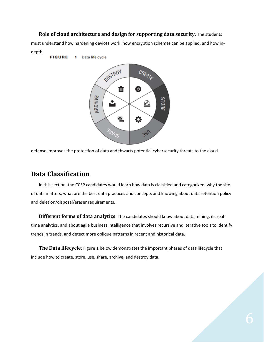**Role of cloud architecture and design for supporting data security**: The students

must understand how hardening devices work, how encryption schemes can be applied, and how indepth

**FIGURE** 1 Data life cycle



defense improves the protection of data and thwarts potential cybersecurity threats to the cloud.

### <span id="page-5-0"></span>**Data Classification**

In this section, the CCSP candidates would learn how data is classified and categorized, why the site of data matters, what are the best data practices and concepts and knowing about data retention policy and deletion/disposal/eraser requirements.

**Different forms of data analytics**: The candidates should know about data mining, its realtime analytics, and about agile business intelligence that involves recursive and iterative tools to identify trends in trends, and detect more oblique patterns in recent and historical data.

**The Data lifecycle**: Figure 1 below demonstrates the important phases of data lifecycle that include how to create, store, use, share, archive, and destroy data.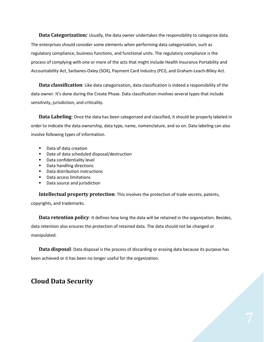**Data Categorization***:* Usually, the data owner undertakes the responsibility to categorize data. The enterprises should consider some elements when performing data categorization, such as regulatory compliance, business functions, and functional units. The regulatory compliance is the process of complying with one or more of the acts that might include Health Insurance Portability and Accountability Act, Sarbanes-Oxley (SOX), Payment Card Industry (PCI), and Graham-Leach-Bliley Act.

**Data classification**: Like data categorization, data classification is indeed a responsibility of the data owner. It's done during the Create Phase. Data classification involves several types that include sensitivity, jurisdiction, and criticality.

**Data Labeling**: Once the data has been categorized and classified, it should be properly labeled in order to indicate the data ownership, data type, name, nomenclature, and so on. Data labeling can also involve following types of information.

- Data of data creation
- Date of data scheduled disposal/destruction
- Data confidentiality level
- Data handling directions
- Data distribution instructions
- Data access limitations
- Data source and jurisdiction

**Intellectual property protection**: This involves the protection of trade secrets, patents,

copyrights, and trademarks.

**Data retention policy**: It defines how long the data will be retained in the organization. Besides, data retention also ensures the protection of retained data. The data should not be changed or manipulated.

**Data disposal**: Data disposal is the process of discarding or erasing data because its purpose has been achieved or it has been no longer useful for the organization.

#### <span id="page-6-0"></span>**Cloud Data Security**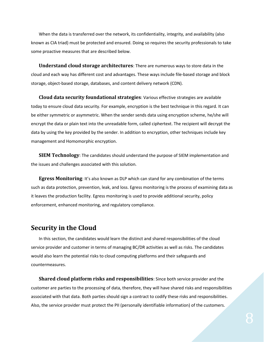When the data is transferred over the network, its confidentiality, integrity, and availability (also known as CIA triad) must be protected and ensured. Doing so requires the security professionals to take some proactive measures that are described below.

**Understand cloud storage architectures**: There are numerous ways to store data in the cloud and each way has different cost and advantages. These ways include file-based storage and block storage, object-based storage, databases, and content delivery network (CDN).

**Cloud data security foundational strategies**: Various effective strategies are available today to ensure cloud data security. For example, encryption is the best technique in this regard. It can be either symmetric or asymmetric. When the sender sends data using encryption scheme, he/she will encrypt the data or plain text into the unreadable form, called ciphertext. The recipient will decrypt the data by using the key provided by the sender. In addition to encryption, other techniques include key management and Homomorphic encryption.

**SIEM Technology**: The candidates should understand the purpose of SIEM implementation and the issues and challenges associated with this solution.

**Egress Monitoring**: It's also known as DLP which can stand for any combination of the terms such as data protection, prevention, leak, and loss. Egress monitoring is the process of examining data as it leaves the production facility. Egress monitoring is used to provide additional security, policy enforcement, enhanced monitoring, and regulatory compliance.

## <span id="page-7-0"></span>**Security in the Cloud**

In this section, the candidates would learn the distinct and shared responsibilities of the cloud service provider and customer in terms of managing BC/DR activities as well as risks. The candidates would also learn the potential risks to cloud computing platforms and their safeguards and countermeasures.

**Shared cloud platform risks and responsibilities**: Since both service provider and the customer are parties to the processing of data, therefore, they will have shared risks and responsibilities associated with that data. Both parties should sign a contract to codify these risks and responsibilities. Also, the service provider must protect the PII (personally identifiable information) of the customers.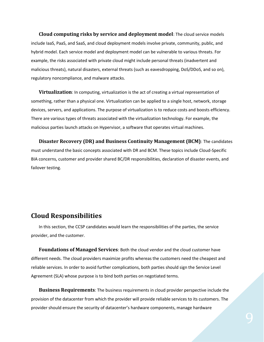**Cloud computing risks by service and deployment model**: The cloud service models include IaaS, PaaS, and SaaS, and cloud deployment models involve private, community, public, and hybrid model. Each service model and deployment model can be vulnerable to various threats. For example, the risks associated with private cloud might include personal threats (inadvertent and malicious threats), natural disasters, external threats (such as eavesdropping, DoS/DDoS, and so on), regulatory noncompliance, and malware attacks.

**Virtualization**: In computing, virtualization is the act of creating a virtual representation of something, rather than a physical one. Virtualization can be applied to a single host, network, storage devices, servers, and applications. The purpose of virtualization is to reduce costs and boosts efficiency. There are various types of threats associated with the virtualization technology. For example, the malicious parties launch attacks on Hypervisor, a software that operates virtual machines.

**Disaster Recovery (DR) and Business Continuity Management (BCM)**: The candidates must understand the basic concepts associated with DR and BCM. These topics include Cloud-Specific BIA concerns, customer and provider shared BC/DR responsibilities, declaration of disaster events, and failover testing.

#### <span id="page-8-0"></span>**Cloud Responsibilities**

In this section, the CCSP candidates would learn the responsibilities of the parties, the service provider, and the customer.

**Foundations of Managed Services**: Both the cloud vendor and the cloud customer have different needs. The cloud providers maximize profits whereas the customers need the cheapest and reliable services. In order to avoid further complications, both parties should sign the Service Level Agreement (SLA) whose purpose is to bind both parties on negotiated terms.

**Business Requirements**: The business requirements in cloud provider perspective include the provision of the datacenter from which the provider will provide reliable services to its customers. The provider should ensure the security of datacenter's hardware components, manage hardware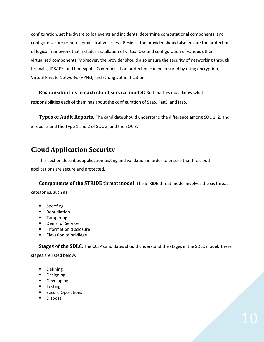configuration, set hardware to log events and incidents, determine computational components, and configure secure remote administrative access. Besides, the provider should also ensure the protection of logical framework that includes installation of virtual OSs and configuration of various other virtualized components. Moreover, the provider should also ensure the security of networking through firewalls, IDS/IPS, and honeypots. Communication protection can be ensured by using encryption, Virtual Private Networks (VPNs), and strong authentication.

**Responsibilities in each cloud service model***:* Both parties must know what

responsibilities each of them has about the configuration of SaaS, PaaS, and IaaS.

**Types of Audit Reports***:* The candidate should understand the difference among SOC 1, 2, and 3 reports and the Type 1 and 2 of SOC 2, and the SOC 3.

## <span id="page-9-0"></span>**Cloud Application Security**

This section describes application testing and validation in order to ensure that the cloud applications are secure and protected.

**Components of the STRIDE threat model**: The STRIDE threat model involves the six threat categories, such as:

- Spoofing
- Repudiation
- Tampering
- Denial of Service
- Information disclosure
- Elevation of privilege

**Stages of the SDLC**: The CCSP candidates should understand the stages in the SDLC model. These

stages are listed below.

- Defining
- Designing
- Developing
- Testing
- Secure Operations
- Disposal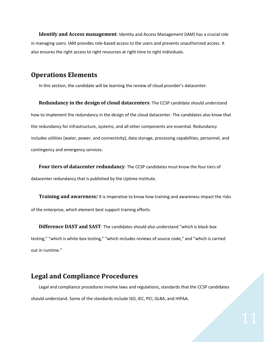**Identify and Access management**: Identity and Access Management (IAM) has a crucial role in managing users. IAM provides role-based access to the users and prevents unauthorized access. It also ensures the right access to right resources at right time to right individuals.

#### <span id="page-10-0"></span>**Operations Elements**

In this section, the candidate will be learning the review of cloud provider's datacenter.

**Redundancy in the design of cloud datacenters**: The CCSP candidate should understand how to implement the redundancy in the design of the cloud datacenter. The candidates also know that the redundancy for infrastructure, systems, and all other components are essential. Redundancy includes utilities (water, power, and connectivity), data storage, processing capabilities, personnel, and contingency and emergency services.

**Four tiers of datacenter redundancy**: The CCSP candidates must know the four tiers of datacenter redundancy that is published by the Uptime Institute.

**Training and awareness***:* It is imperative to know how training and awareness impact the risks of the enterprise, which element best support training efforts.

**Difference DAST and SAST**: The candidates should also understand "which is black-box testing," "which is white-box testing," "which includes reviews of source code," and "which is carried out in runtime."

## <span id="page-10-1"></span>**Legal and Compliance Procedures**

Legal and compliance procedures involve laws and regulations, standards that the CCSP candidates should understand. Some of the standards include ISO, IEC, PCI, GLBA, and HIPAA.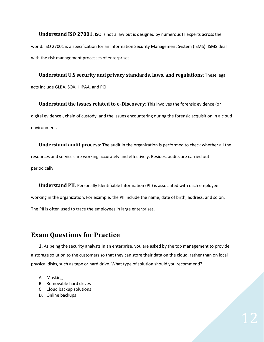**Understand ISO 27001**: ISO is not a law but is designed by numerous IT experts across the world. ISO 27001 is a specification for an Information Security Management System (ISMS). ISMS deal with the risk management processes of enterprises.

**Understand U.S security and privacy standards, laws, and regulations**: These legal acts include GLBA, SOX, HIPAA, and PCI.

**Understand the issues related to e-Discovery**: This involves the forensic evidence (or digital evidence), chain of custody, and the issues encountering during the forensic acquisition in a cloud environment.

**Understand audit process**: The audit in the organization is performed to check whether all the resources and services are working accurately and effectively. Besides, audits are carried out periodically.

**Understand PII**: Personally Identifiable Information (PII) is associated with each employee working in the organization. For example, the PII include the name, date of birth, address, and so on. The PII is often used to trace the employees in large enterprises.

## <span id="page-11-0"></span>**Exam Questions for Practice**

**1.** As being the security analysts in an enterprise, you are asked by the top management to provide a storage solution to the customers so that they can store their data on the cloud, rather than on local physical disks, such as tape or hard drive. What type of solution should you recommend?

- A. Masking
- B. Removable hard drives
- C. Cloud backup solutions
- D. Online backups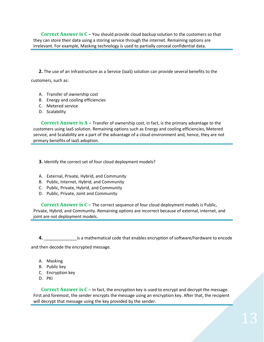**Correct Answer is C** – You should provide cloud backup solution to the customers so that they can store their data using a storing service through the internet. Remaining options are irrelevant. For example, Masking technology is used to partially conceal confidential data.

**2.** The use of an Infrastructure as a Service (IaaS) solution can provide several benefits to the

customers, such as:

- A. Transfer of ownership cost
- B. Energy and cooling efficiencies
- C. Metered service
- D. Scalability

**Correct Answer is A** – Transfer of ownership cost, in fact, is the primary advantage to the customers using IaaS solution. Remaining options such as Energy and cooling efficiencies, Metered service, and Scalability are a part of the advantage of a cloud environment and, hence, they are not primary benefits of IaaS adoption.

**3.** Identify the correct set of four cloud deployment models?

- A. External, Private, Hybrid, and Community
- B. Public, Internet, Hybrid, and Community
- C. Public, Private, Hybrid, and Community
- D. Public, Private, Joint and Community

**Correct Answer is C** – The correct sequence of four cloud deployment models is Public, Private, Hybrid, and Community. Remaining options are incorrect because of external, internet, and joint are not deployment models.

**4.** \_\_\_\_\_\_\_\_\_\_\_\_\_\_is a mathematical code that enables encryption of software/hardware to encode and then decode the encrypted message.

- A. Masking
- B. Public key
- C. Encryption key
- D. PKI

**Correct Answer is C** – In fact, the encryption key is used to encrypt and decrypt the message. First and foremost, the sender encrypts the message using an encryption key. After that, the recipient will decrypt that message using the key provided by the sender.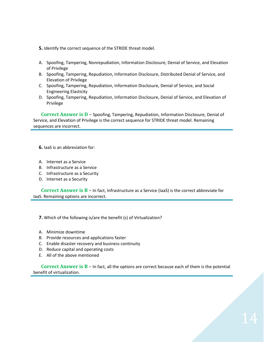- **5.** Identify the correct sequence of the STRIDE threat model.
- A. Spoofing, Tampering, Nonrepudiation, Information Disclosure, Denial of Service, and Elevation of Privilege
- B. Spoofing, Tampering, Repudiation, Information Disclosure, Distributed Denial of Service, and Elevation of Privilege
- C. Spoofing, Tampering, Repudiation, Information Disclosure, Denial of Service, and Social Engineering Elasticity
- D. Spoofing, Tampering, Repudiation, Information Disclosure, Denial of Service, and Elevation of Privilege

**Correct Answer is D** – Spoofing, Tampering, Repudiation, Information Disclosure, Denial of Service, and Elevation of Privilege is the correct sequence for STRIDE threat model. Remaining sequences are incorrect.

**6.** IaaS is an abbreviation for:

- A. Internet as a Service
- B. Infrastructure as a Service
- C. Infrastructure as a Security
- D. Internet as a Security

**Correct Answer is B** – In fact, Infrastructure as a Service (IaaS) is the correct abbreviate for IaaS. Remaining options are incorrect.

**7.** Which of the following is/are the benefit (s) of Virtualization?

- A. Minimize downtime
- B. Provide resources and applications faster
- C. Enable disaster recovery and business continuity
- D. Reduce capital and operating costs
- E. All of the above mentioned

**Correct Answer is B** – In fact, all the options are correct because each of them is the potential benefit of virtualization.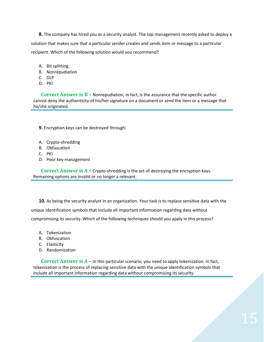**8.** The company has hired you as a security analyst. The top management recently asked to deploy a solution that makes sure that a particular sender creates and sends item or message to a particular recipient. Which of the following solution would you recommend?

- A. Bit splitting
- B. Nonrepudiation
- C. DLP
- D. PKI

**Correct Answer is B** – Nonrepudiation, in fact, is the assurance that the specific author cannot deny the authenticity of his/her signature on a document or send the item or a message that he/she originated.

**9.** Encryption keys can be destroyed through:

- A. Crypto-shredding
- B. Obfuscation
- C. PKI
- D. Poor key management

**Correct Answer is A** – Crypto-shredding is the act of destroying the encryption keys. Remaining options are invalid or no longer a relevant.

**10.** As being the security analyst in an organization. Your task is to replace sensitive data with the unique identification symbols that include all important information regarding data without compromising its security. Which of the following techniques should you apply in this process?

- A. Tokenization
- B. Obfuscation
- C. Elasticity
- D. Randomization

**Correct Answer is A** – In this particular scenario, you need to apply tokenization. In fact, tokenization is the process of replacing sensitive data with the unique identification symbols that include all important information regarding data without compromising its security.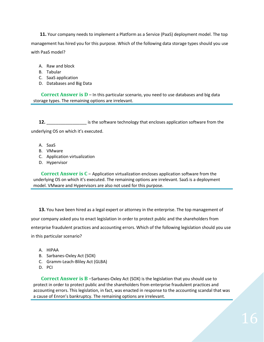**11.** Your company needs to implement a Platform as a Service (PaaS) deployment model. The top management has hired you for this purpose. Which of the following data storage types should you use with PaaS model?

- A. Raw and block
- B. Tabular
- C. SaaS application
- D. Databases and Big Data

**Correct Answer is D** – In this particular scenario, you need to use databases and big data storage types. The remaining options are irrelevant.

**12.** \_\_\_\_\_\_\_\_\_\_\_\_\_\_\_\_\_ is the software technology that encloses application software from the underlying OS on which it's executed.

- A. SaaS
- B. VMware
- C. Application virtualization
- D. Hypervisor

**Correct Answer is C** – Application virtualization encloses application software from the underlying OS on which it's executed. The remaining options are irrelevant. SaaS is a deployment model. VMware and Hypervisors are also not used for this purpose.

**13.** You have been hired as a legal expert or attorney in the enterprise. The top management of your company asked you to enact legislation in order to protect public and the shareholders from enterprise fraudulent practices and accounting errors. Which of the following legislation should you use in this particular scenario?

- A. HIPAA
- B. Sarbanes-Oxley Act (SOX)
- C. Gramm-Leach-Bliley Act (GLBA)
- D. PCI

**Correct Answer is B** –Sarbanes-Oxley Act (SOX) is the legislation that you should use to protect in order to protect public and the shareholders from enterprise fraudulent practices and accounting errors. This legislation, in fact, was enacted in response to the accounting scandal that was a cause of Enron's bankruptcy. The remaining options are irrelevant.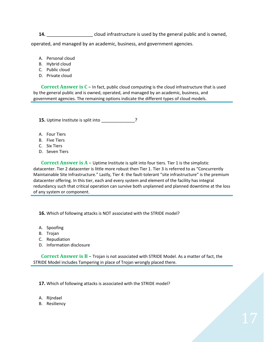**14. 14. 11. 11. 11. 11. 11. 11. 11. 11. 11. 11. 11. 11. 11. 11. 11. 11. 11. 11. 11. 11. 11. 11. 11. 11. 11. 11. 11. 11. 11. 11. 11. 11. 11. 11. 11.**

operated, and managed by an academic, business, and government agencies.

- A. Personal cloud
- B. Hybrid cloud
- C. Public cloud
- D. Private cloud

**Correct Answer is C** – In fact, public cloud computing is the cloud infrastructure that is used by the general public and is owned, operated, and managed by an academic, business, and government agencies. The remaining options indicate the different types of cloud models.

**15.** Uptime Institute is split into \_\_\_\_\_\_\_\_\_\_\_\_\_?

- A. Four Tiers
- B. Five Tiers
- C. Six Tiers
- D. Seven Tiers

**Correct Answer is A** – Uptime Institute is split into four tiers. Tier 1 is the simplistic datacenter. Tier 2 datacenter is little more robust then Tier 1. Tier 3 is referred to as "Concurrently Maintainable Site Infrastructure." Lastly, Tier 4: the fault-tolerant "site infrastructure" is the premium datacenter offering. In this tier, each and every system and element of the facility has integral redundancy such that critical operation can survive both unplanned and planned downtime at the loss of any system or component.

**16.** Which of following attacks is NOT associated with the STRIDE model?

- A. Spoofing
- B. Trojan
- C. Repudiation
- D. Information disclosure

**Correct Answer is B** – Trojan is not associated with STRIDE Model. As a matter of fact, the STRIDE Model includes Tampering in place of Trojan wrongly placed there.

**17.** Which of following attacks is associated with the STRIDE model?

- A. Rijndael
- B. Resiliency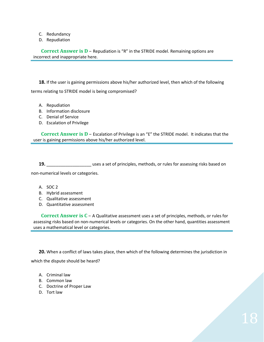- C. Redundancy
- D. Repudiation

**Correct Answer is D – Repudiation is "R" in the STRIDE model. Remaining options are** incorrect and inappropriate here.

**18.** If the user is gaining permissions above his/her authorized level, then which of the following terms relating to STRIDE model is being compromised?

- A. Repudiation
- B. Information disclosure
- C. Denial of Service
- D. Escalation of Privilege

**Correct Answer is D** – Escalation of Privilege is an "E" the STRIDE model. It indicates that the user is gaining permissions above his/her authorized level.

**19.** \_\_\_\_\_\_\_\_\_\_\_\_\_\_\_\_\_\_\_ uses a set of principles, methods, or rules for assessing risks based on non-numerical levels or categories.

- A. SOC 2
- B. Hybrid assessment
- C. Qualitative assessment
- D. Quantitative assessment

**Correct Answer is C** – A Qualitative assessment uses a set of principles, methods, or rules for assessing risks based on non-numerical levels or categories. On the other hand, quantities assessment uses a mathematical level or categories.

**20.** When a conflict of laws takes place, then which of the following determines the jurisdiction in which the dispute should be heard?

- A. Criminal law
- B. Common law
- C. Doctrine of Proper Law
- D. Tort law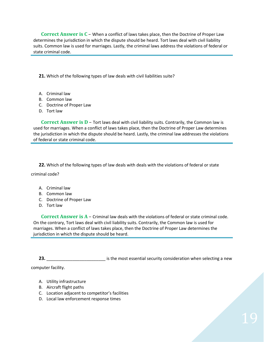**Correct Answer is C** – When a conflict of laws takes place, then the Doctrine of Proper Law determines the jurisdiction in which the dispute should be heard. Tort laws deal with civil liability suits. Common law is used for marriages. Lastly, the criminal laws address the violations of federal or state criminal code.

**21.** Which of the following types of law deals with civil liabilities suite?

- A. Criminal law
- B. Common law
- C. Doctrine of Proper Law
- D. Tort law

**Correct Answer is D** – Tort laws deal with civil liability suits. Contrarily, the Common law is used for marriages. When a conflict of laws takes place, then the Doctrine of Proper Law determines the jurisdiction in which the dispute should be heard. Lastly, the criminal law addresses the violations of federal or state criminal code.

**22.** Which of the following types of law deals with deals with the violations of federal or state

criminal code?

- A. Criminal law
- B. Common law
- C. Doctrine of Proper Law
- D. Tort law

**Correct Answer is A** – Criminal law deals with the violations of federal or state criminal code. On the contrary, Tort laws deal with civil liability suits. Contrarily, the Common law is used for marriages. When a conflict of laws takes place, then the Doctrine of Proper Law determines the jurisdiction in which the dispute should be heard.

**23. 23. 23.** *Let us a series in the most essential security consideration when selecting a new* 

computer facility.

- A. Utility infrastructure
- B. Aircraft flight paths
- C. Location adjacent to competitor's facilities
- D. Local law enforcement response times